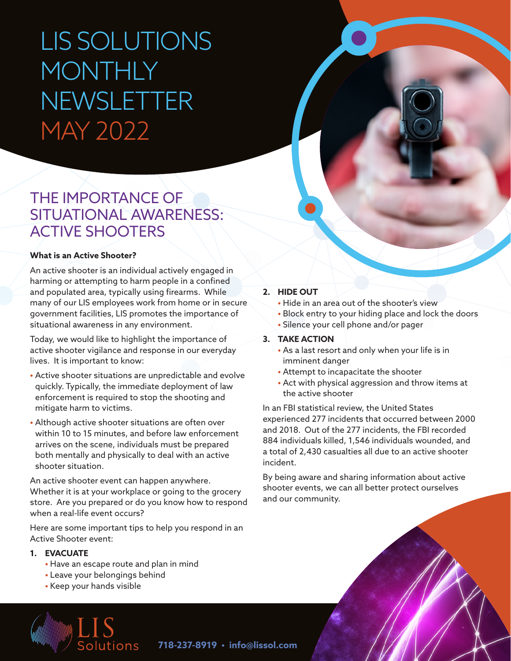# LIS SOLUTIONS **MONTHLY** NEWSLETTER MAY 2022

### THE IMPORTANCE OF SITUATIONAL AWARENESS: ACTIVE SHOOTERS

#### **What is an Active Shooter?**

An active shooter is an individual actively engaged in harming or attempting to harm people in a confined and populated area, typically using firearms. While many of our LIS employees work from home or in secure government facilities, LIS promotes the importance of situational awareness in any environment.

Today, we would like to highlight the importance of active shooter vigilance and response in our everyday lives. It is important to know:

- Active shooter situations are unpredictable and evolve quickly. Typically, the immediate deployment of law enforcement is required to stop the shooting and mitigate harm to victims.
- Although active shooter situations are often over within 10 to 15 minutes, and before law enforcement arrives on the scene, individuals must be prepared both mentally and physically to deal with an active shooter situation.

An active shooter event can happen anywhere. Whether it is at your workplace or going to the grocery store. Are you prepared or do you know how to respond when a real-life event occurs?

Here are some important tips to help you respond in an Active Shooter event:

#### **1. EVACUATE**

- Have an escape route and plan in mind
- Leave your belongings behind
- Keep your hands visible



#### **2. HIDE OUT**

- Hide in an area out of the shooter's view
- Block entry to your hiding place and lock the doors
- Silence your cell phone and/or pager

#### **3. TAKE ACTION**

- As a last resort and only when your life is in imminent danger
- Attempt to incapacitate the shooter
- Act with physical aggression and throw items at the active shooter

In an FBI statistical review, the United States experienced 277 incidents that occurred between 2000 and 2018. Out of the 277 incidents, the FBI recorded 884 individuals killed, 1,546 individuals wounded, and a total of 2,430 casualties all due to an active shooter incident.

By being aware and sharing information about active shooter events, we can all better protect ourselves and our community.

**718-237-8919 • [info@lissol.com](mailto:info%40lissol.com?subject=)**